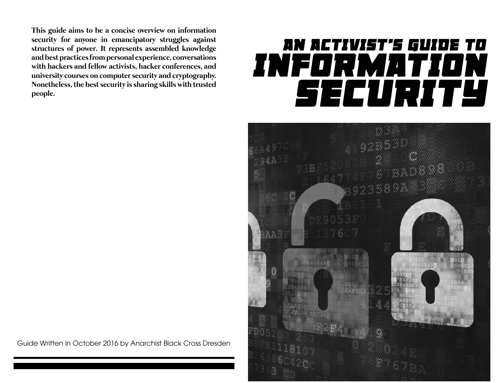**This guide aims to be a concise overview on information security for anyone in emancipatory struggles against structures of power. It represents assembled knowledge and best practices from personal experience, conversations with hackers and fellow activists, hacker conferences, and university courses on computer security and cryptography. Nonetheless, the best security is sharing skills with trusted people.**

# *AN ACTIVIST'S GUIDE TO INFORMATION SECURITY*



Guide Written in October 2016 by Anarchist Black Cross Dresden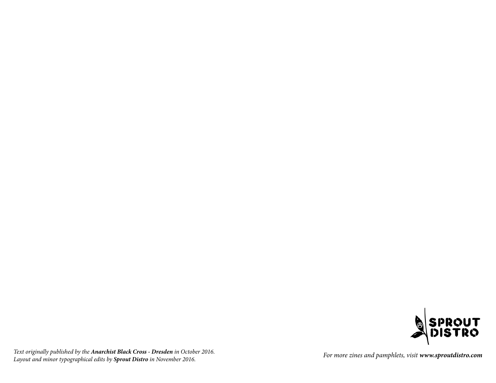

Text originally published by the **Anarchist Black Cross - Dresden** in October 2016. Lext originally published by the **Anarchist Black Cross - Dresden** in October 2016.<br>Layout and minor typographical edits by **Sprout Distro** in November 2016.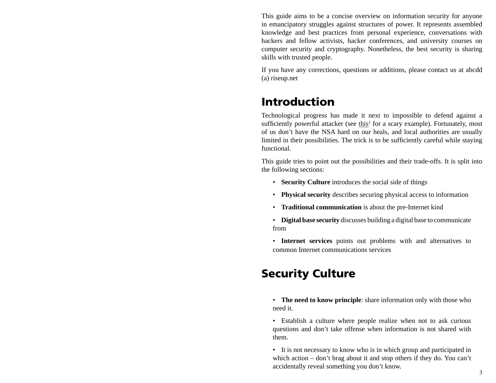This guide aims to be a concise overview on information security for anyone in emancipatory struggles against structures of power. It represents assembled knowledge and best practices from personal experience, conversations with hackers and fellow activists, hacker conferences, and university courses on computer security and cryptography. Nonetheless, the best security is sharing skills with trusted people.

If you have any corrections, questions or additions, please contact us at abcdd (a) riseup.net

# Introduction

Technological progress has made it next to impossible to defend against a sufficiently powerful attacker (see this<sup>1</sup> for a scary example). Fortunately, most of us don't have the NSA hard on our heals, and local authorities are usually limited in their possibilities. The trick is to be sufficiently careful while staying functional.

This guide tries to point out the possibilities and their trade-offs. It is split into the following sections:

- **Security Culture** introduces the social side of things
- **Physical security** describes securing physical access to information
- **Traditional communication** is about the pre-Internet kind
- **Digital base security** discusses building a digital base to communicate from
- **Internet services** points out problems with and alternatives to common Internet communications services

# Security Culture

- **The need to know principle**: share information only with those who need it.
- Establish a culture where people realize when not to ask curious questions and don't take offense when information is not shared with them.
- It is not necessary to know who is in which group and participated in which action – don't brag about it and stop others if they do. You can't accidentally reveal something you don't know.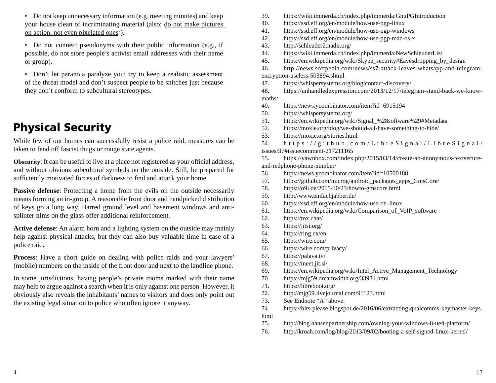- Do not keep unnecessary information (e.g. meeting minutes) and keep your house clean of incriminating material (also: do not make pictures on action, not even pixelated ones<sup>2</sup>).
- Do not connect pseudonyms with their public information (e.g., if possible, do not store people's activist email addresses with their name or group).
- Don't let paranoia paralyze you: try to keep a realistic assessment of the threat model and don't suspect people to be snitches just because they don't conform to subcultural stereotypes.

# Physical Security

While few of our homes can successfully resist a police raid, measures can be taken to fend off fascist thugs or rouge state agents.

**Obscurity:** It can be useful to live at a place not registered as your official address, and without obvious subcultural symbols on the outside. Still, be prepared for sufficiently motivated forces of darkness to find and attack your home.

Passive defense: Protecting a home from the evils on the outside necessarily means forming an in-group. A reasonable front door and handpicked distribution of keys go a long way. Barred ground level and basement windows and antisplinter films on the glass offer additional reinforcement.

**Active defense**: An alarm horn and a lighting system on the outside may mainly help against physical attacks, but they can also buy valuable time in case of a police raid.

**Process**: Have a short guide on dealing with police raids and your lawyers' (mobile) numbers on the inside of the front door and next to the landline phone.

In some jurisdictions, having people's private rooms marked with their name may help to argue against a search when it is only against one person. However, it obviously also reveals the inhabitants' names to visitors and does only point out the existing legal situation to police who often ignore it anyway.

- 39. https://wiki.immerda.ch/index.php/immerda:GnuPGIntroduction
- 40. https://ssd.eff.org/en/module/how-use-pgp-linux
- 41. https://ssd.eff.org/en/module/how-use-pgp-windows
- 42. https://ssd.eff.org/en/module/how-use-pgp-mac-os-x
- 43. http://schleuder2.nadir.org/

44. https://wiki.immerda.ch/index.php/immerda:NewSchleuderList

45. https://en.wikipedia.org/wiki/Skype\_security#Eavesdropping\_by\_design

46. http://news.softpedia.com/news/ss7-attack-leaves-whatsapp-and-telegramencryption-useless-503894.shtml

47. https://whispersystems.org/blog/contact-discovery/

48. https://unhandledexpression.com/2013/12/17/telegram-stand-back-we-knowmaths/

- 49. https://news.ycombinator.com/item?id=6915194
- 50. https://whispersystems.org/
- 51. https://en.wikipedia.org/wiki/Signal\_%28software%29#Metadata
- 52. https://moxie.org/blog/we-should-all-have-something-to-hide/
- 53. https://moxie.org/stories.html

54. https://github.com/LibreSignal/LibreSignal/ issues/37#issuecomment-217211165

55. https://yawnbox.com/index.php/2015/03/14/create-an-anonymous-textsecureand-redphone-phone-number/

- 56. https://news.ycombinator.com/item?id=10500188
- 57. https://github.com/microg/android\_packages\_apps\_GmsCore/
- 58. https://o9i.de/2015/10/23/howto-gmscore.html
- 59. http://www.einfachjabber.de/
- 60. https://ssd.eff.org/en/module/how-use-otr-linux
- 61. https://en.wikipedia.org/wiki/Comparison\_of\_VoIP\_software
- 62. https://tox.chat/
- 63. https://jitsi.org/
- 64. https://ring.cx/en
- 65. https://wire.com/
- 66. https://wire.com/privacy/
- 67. https://palava.tv/
- 68. https://meet.jit.si/
- 69. https://en.wikipedia.org/wiki/Intel\_Active\_Management\_Technology
- 70. https://mjg59.dreamwidth.org/33981.html
- 71. https://libreboot.org/
- 72. http://mjg59.livejournal.com/91123.html
- 73. See Endnote "A" above.
- 74. https://bits-please.blogspot.de/2016/06/extracting-qualcomms-keymaster-keys. html
- 75. http://blog.hansenpartnership.com/owning-your-windows-8-uefi-platform/
- 76. http://kroah.com/log/blog/2013/09/02/booting-a-self-signed-linux-kernel/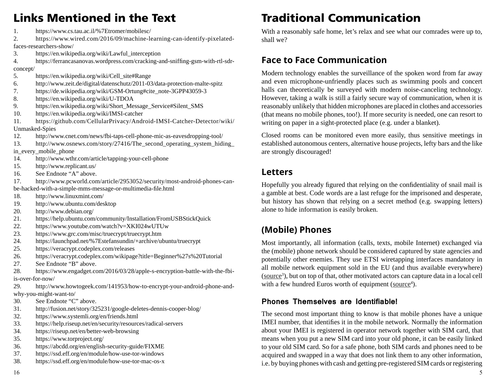# Links Mentioned in the Text

- 1. https://www.cs.tau.ac.il/%7Etromer/mobilesc/
- 2. https://www.wired.com/2016/09/machine-learning-can-identify-pixelatedfaces-researchers-show/
- 3. https://en.wikipedia.org/wiki/Lawful\_interception

4. https://ferrancasanovas.wordpress.com/cracking-and-sniffing-gsm-with-rtl-sdrconcept/

- 5. https://en.wikipedia.org/wiki/Cell\_site#Range
- 6. http://www.zeit.de/digital/datenschutz/2011-03/data-protection-malte-spitz
- 7. https://de.wikipedia.org/wiki/GSM-Ortung#cite\_note-3GPP43059-3
- 8. https://en.wikipedia.org/wiki/U-TDOA
- 9. https://en.wikipedia.org/wiki/Short\_Message\_Service#Silent\_SMS
- 10. https://en.wikipedia.org/wiki/IMSI-catcher
- 11. https://github.com/CellularPrivacy/Android-IMSI-Catcher-Detector/wiki/ Unmasked-Spies
- 12. http://www.cnet.com/news/fbi-taps-cell-phone-mic-as-eavesdropping-tool/
- 13. http://www.osnews.com/story/27416/The\_second\_operating\_system\_hiding\_

#### in every mobile phone

- 14. http://www.wthr.com/article/tapping-your-cell-phone
- 15. http://www.replicant.us/
- 16. See Endnote "A" above.
- 17. http://www.pcworld.com/article/2953052/security/most-android-phones-canbe-hacked-with-a-simple-mms-message-or-multimedia-file.html
- 18. http://www.linuxmint.com/
- 19. http://www.ubuntu.com/desktop
- 20. http://www.debian.org/
- 21. https://help.ubuntu.com/community/Installation/FromUSBStickQuick
- 22. https://www.youtube.com/watch?v=XKI024wUTUw
- 23. https://www.grc.com/misc/truecrypt/truecrypt.htm
- 24. https://launchpad.net/%7Estefansundin/+archive/ubuntu/truecrypt
- 25. https://veracrypt.codeplex.com/releases
- 26. https://veracrypt.codeplex.com/wikipage?title=Beginner%27s%20Tutorial
- 27. See Endnote "B" above.
- 28. https://www.engadget.com/2016/03/28/apple-s-encryption-battle-with-the-fbiis-over-for-now/
- 29. http://www.howtogeek.com/141953/how-to-encrypt-your-android-phone-andwhy-you-might-want-to/
- 30. See Endnote "C" above.
- 31. http://fusion.net/story/325231/google-deletes-dennis-cooper-blog/
- 32. https://www.systemli.org/en/friends.html
- 33. https://help.riseup.net/en/security/resources/radical-servers
- 34. https://riseup.net/en/better-web-browsing
- 35. https://www.torproject.org/
- 36. https://abcdd.org/en/english-security-guide/FIXME
- 37. https://ssd.eff.org/en/module/how-use-tor-windows
- 38. https://ssd.eff.org/en/module/how-use-tor-mac-os-x

# Traditional Communication

With a reasonably safe home, let's relax and see what our comrades were up to, shall we?

### **Face to Face Communication**

Modern technology enables the surveillance of the spoken word from far away and even microphone-unfriendly places such as swimming pools and concert halls can theoretically be surveyed with modern noise-canceling technology. However, taking a walk is still a fairly secure way of communication, when it is reasonably unlikely that hidden microphones are placed in clothes and accessories (that means no mobile phones, too!). If more security is needed, one can resort to writing on paper in a sight-protected place (e.g. under a blanket).

Closed rooms can be monitored even more easily, thus sensitive meetings in established autonomous centers, alternative house projects, lefty bars and the like are strongly discouraged!

### **Letters**

Hopefully you already figured that relying on the confidentiality of snail mail is a gamble at best. Code words are a last refuge for the imprisoned and desperate, but history has shown that relying on a secret method (e.g. swapping letters) alone to hide information is easily broken.

# **(Mobile) Phones**

Most importantly, all information (calls, texts, mobile Internet) exchanged via the (mobile) phone network should be considered captured by state agencies and potentially other enemies. They use ETSI wiretapping interfaces mandatory in all mobile network equipment sold in the EU (and thus available everywhere) (source<sup>3</sup>), but on top of that, other motivated actors can capture data in a local cell with a few hundred Euros worth of equipment (source<sup>4</sup>).

#### **Phones Themselves are Identifiable!**

The second most important thing to know is that mobile phones have a unique IMEI number, that identifies it in the mobile network. Normally the information about your IMEI is registered in operator network together with SIM card, that means when you put a new SIM card into your old phone, it can be easily linked to your old SIM card. So for a safe phone, both SIM cards and phones need to be acquired and swapped in a way that does not link them to any other information, i.e. by buying phones with cash and getting pre-registered SIM cards or registering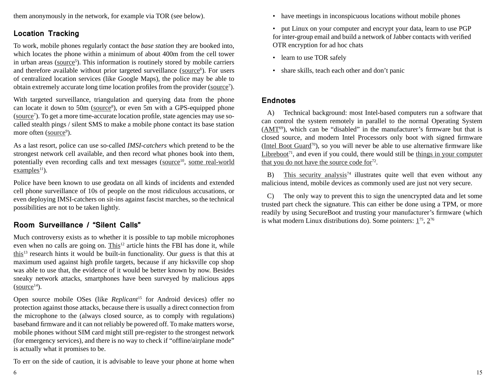them anonymously in the network, for example via TOR (see below).

#### **Location Tracking**

To work, mobile phones regularly contact the *base station* they are booked into, which locates the phone within a minimum of about 400m from the cell tower in urban areas (source<sup>5</sup>). This information is routinely stored by mobile carriers and therefore available without prior targeted surveillance (source<sup>6</sup>). For users of centralized location services (like Google Maps), the police may be able to obtain extremely accurate long time location profiles from the provider (source<sup>7</sup>).

With targeted surveillance, triangulation and querying data from the phone can locate it down to  $50m$  ( $source<sup>8</sup>$ ), or even  $5m$  with a GPS-equipped phone (source<sup>7</sup>). To get a more time-accurate location profile, state agencies may use socalled stealth pings / silent SMS to make a mobile phone contact its base station more often (source<sup>9</sup>).

As a last resort, police can use so-called *IMSI-catchers* which pretend to be the strongest network cell available, and then record what phones book into them, potentially even recording calls and text messages (source<sup>10</sup>, some real-world  $examples<sup>11</sup>$ ).

Police have been known to use geodata on all kinds of incidents and extended cell phone surveillance of 10s of people on the most ridiculous accusations, or even deploying IMSI-catchers on sit-ins against fascist marches, so the technical possibilities are not to be taken lightly.

#### **Room Surveillance / "Silent Calls"**

Much controversy exists as to whether it is possible to tap mobile microphones even when no calls are going on.  $This<sup>12</sup>$  article hints the FBI has done it, while this13 research hints it would be built-in functionality. Our *guess* is that this at maximum used against high profile targets, because if any hicksville cop shop was able to use that, the evidence of it would be better known by now. Besides sneaky network attacks, smartphones have been surveyed by malicious apps  $(source<sup>14</sup>).$ 

Open source mobile OSes (like *Replicant*15 for Android devices) offer no protection against those attacks, because there is usually a direct connection from the microphone to the (always closed source, as to comply with regulations) baseband firmware and it can not reliably be powered off. To make matters worse, mobile phones without SIM card might still pre-register to the strongest network (for emergency services), and there is no way to check if "offline/airplane mode" is actually what it promises to be.

To err on the side of caution, it is advisable to leave your phone at home when

- have meetings in inconspicuous locations without mobile phones
- put Linux on your computer and encrypt your data, learn to use PGP for inter-group email and build a network of Jabber contacts with verified OTR encryption for ad hoc chats
- learn to use TOR safely
- share skills, teach each other and don't panic

#### **Endnotes**

A) Technical background: most Intel-based computers run a software that can control the system remotely in parallel to the normal Operating System  $(AMT<sup>69</sup>)$ , which can be "disabled" in the manufacturer's firmware but that is closed source, and modern Intel Processors only boot with signed firmware (Intel Boot Guard<sup>70</sup>), so you will never be able to use alternative firmware like  $Libreboot<sup>71</sup>$ , and even if you could, there would still be things in your computer that you do not have the source code for $72$ .

B) This security analysis<sup>74</sup> illustrates quite well that even without any malicious intend, mobile devices as commonly used are just not very secure.

C) The only way to prevent this to sign the unencrypted data and let some trusted part check the signature. This can either be done using a TPM, or more readily by using SecureBoot and trusting your manufacturer's firmware (which is what modern Linux distributions do). Some pointers:  $1^{75}$ ,  $2^{76}$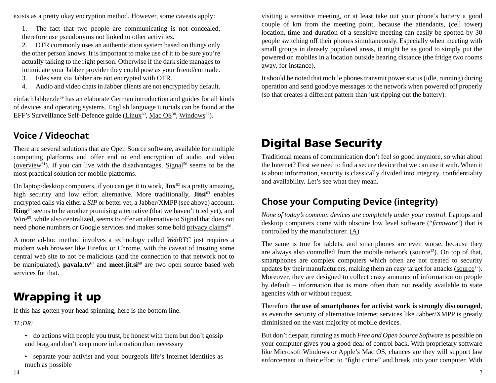exists as a pretty okay encryption method. However, some caveats apply:

1. The fact that two people are communicating is not concealed, therefore use pseudonyms not linked to other activities.

2. OTR commonly uses an authentication system based on things only the other person knows. It is important to make use of it to be sure you're actually talking to the right person. Otherwise if the dark side manages to intimidate your Jabber provider they could pose as your friend/comrade.

- 3. Files sent via Jabber are not encrypted with OTR.
- 4. Audio and video chats in Jabber clients are not encrypted by default.

einfachJabber.de<sup>59</sup> has an elaborate German introduction and guides for all kinds of devices and operating systems. English language tutorials can be found at the EFF's Surveillance Self-Defence guide (Linux<sup>60</sup>, Mac OS<sup>38</sup>, Windows<sup>37</sup>).

### **Voice / Videochat**

There are several solutions that are Open Source software, available for multiple computing platforms and offer end to end encryption of audio and video ( $overview^{61}$ ). If you can live with the disadvantages,  $Signal^{50}$  seems to be the most practical solution for mobile platforms.

On laptop/desktop computers, if you can get it to work, **Tox**62 is a pretty amazing, high security and low effort alternative. More traditionally, **Jitsi**<sup>63</sup> enables encrypted calls via either a *SIP* or better yet, a Jabber/XMPP (see above) account. **Ring**64 seems to be another promising alternative (that we haven't tried yet), and Wire<sup>65</sup>, while also centralized, seems to offer an alternative to Signal that does not need phone numbers or Google services and makes some bold privacy claims<sup>66</sup>.

A more ad-hoc method involves a technology called *WebRTC* just requires a modern web browser like Firefox or Chrome, with the caveat of trusting some central web site to not be malicious (and the connection to that network not to be manipulated). **pavala.tv**<sup>67</sup> and **meet.jit.si**<sup>68</sup> are two open source based web services for that.

# Wrapping it up

If this has gotten your head spinning, here is the bottom line.

*TL;DR:*

- do actions with people you trust, be honest with them but don't gossip and brag and don't keep more information than necessary
- separate your activist and your bourgeois life's Internet identities as much as possible

visiting a sensitive meeting, or at least take out your phone's battery a good couple of km from the meeting point, because the attendants, (cell tower) location, time and duration of a sensitive meeting can easily be spotted by 30 people switching off their phones simultaneously. Especially when meeting with small groups in densely populated areas, it might be as good to simply put the powered on mobiles in a location outside hearing distance (the fridge two rooms away, for instance).

It should be noted that mobile phones transmit power status (idle, running) during operation and send goodbye messages to the network when powered off properly (so that creates a different pattern than just ripping out the battery).

# Digital Base Security

Traditional means of communication don't feel so good anymore, so what about the Internet? First we need to find a secure device that we can use it with. When it is about information, security is classically divided into integrity, confidentiality and availability. Let's see what they mean.

# **Chose your Computing Device (integrity)**

*None of today's common devices are completely under your control.* Laptops and desktop computers come with obscure low level software ("*firmware*") that is controlled by the manufacturer. (A)

The same is true for tablets; and smartphones are even worse, because they are always also controlled from the mobile network ( $source<sup>13</sup>$ ). On top of that, smartphones are complex computers which often are not treated to security updates by their manufacturers, making them an easy target for attacks ( $source^{17}$ ). Moreover, they are designed to collect crazy amounts of information on people by default – information that is more often than not readily available to state agencies with or without request.

Therefore **the use of smartphones for activist work is strongly discouraged**, as even the security of alternative Internet services like Jabber/XMPP is greatly diminished on the vast majority of mobile devices.

But don't despair, running as much *Free and Open Source Software* as possible on your computer gives you a good deal of control back. With proprietary software like Microsoft Windows or Apple's Mac OS, chances are they will support law enforcement in their effort to "fight crime" and break into your computer. With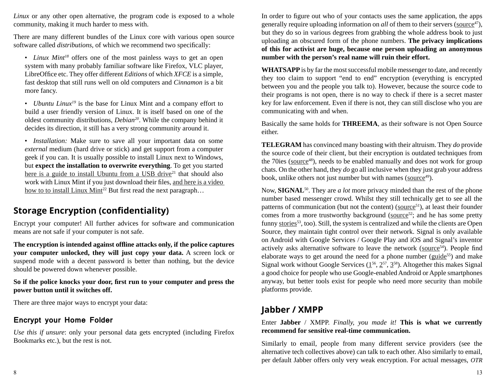*Linux* or any other open alternative, the program code is exposed to a whole community, making it much harder to mess with.

There are many different bundles of the Linux core with various open source software called *distributions*, of which we recommend two specifically:

• *Linux Mint<sup>18</sup>* offers one of the most painless ways to get an open system with many probably familiar software like Firefox, VLC player, LibreOffice etc. They offer different *Editions* of which *XFCE* is a simple, fast desktop that still runs well on old computers and *Cinnamon* is a bit more fancy.

• *Ubuntu Linux19* is the base for Linux Mint and a company effort to build a user friendly version of Linux. It is itself based on one of the oldest community distributions, *Debian20*. While the company behind it decides its direction, it still has a very strong community around it.

• *Installation:* Make sure to save all your important data on some *external* medium (hard drive or stick) and get support from a computer geek if you can. It is usually possible to install Linux next to Windows, but **expect the installation to overwrite everything**. To get you started here is a guide to install Ubuntu from a USB drive $21$  that should also work with Linux Mint if you just download their files, and here is a video how to to install Linux Mint<sup>22</sup> But first read the next paragraph...

# **Storage Encryption (confidentiality)**

Encrypt your computer! All further advices for software and communication means are not safe if your computer is not safe.

**The encryption is intended against offl ine attacks only, if the police captures your computer unlocked, they will just copy your data.** A screen lock or suspend mode with a decent password is better than nothing, but the device should be powered down whenever possible.

#### **So if the police knocks your door, fi rst run to your computer and press the power button until it switches off.**

There are three major ways to encrypt your data:

#### **Encrypt your Home Folder**

*Use this if unsure*: only your personal data gets encrypted (including Firefox Bookmarks etc.), but the rest is not.

In order to figure out who of your contacts uses the same application, the apps generally require uploading information on *all* of them to their servers (source<sup>47</sup>), but they do so in various degrees from grabbing the whole address book to just uploading an obscured form of the phone numbers. **The privacy implications of this for activist are huge, because one person uploading an anonymous number with the person's real name will ruin their effort.**

**WHATSAPP** is by far the most successful mobile messenger to date, and recently they too claim to support "end to end" encryption (everything is encrypted between you and the people you talk to). However, because the source code to their programs is not open, there is no way to check if there is a secret master key for law enforcement. Even if there is not, they can still disclose who you are communicating with and when.

Basically the same holds for **THREEMA**, as their software is not Open Source either.

**TELEGRAM** has convinced many boasting with their altruism. They *do* provide the source code of their client, but their encryption is outdated techniques from the 70ies (source<sup>48</sup>), needs to be enabled manually and does not work for group chats. On the other hand, they *do* go all inclusive when they just grab your address book, unlike others not just number but with names (source<sup>49</sup>).

Now, **SIGNAL**50. They are *a lot* more privacy minded than the rest of the phone number based messenger crowd. Whilst they still technically get to see all the patterns of communication (but not the content) (source $51$ ), at least their founder comes from a more trustworthy background (source $52$ ; and he has some pretty funny stories<sup>53</sup>, too). Still, the system is centralized and while the clients are Open Source, they maintain tight control over their network. Signal is only available on Android with Google Services / Google Play and iOS and Signal's inventor actively asks alternative software to leave the network (source $54$ ). People find elaborate ways to get around the need for a phone number ( $\text{guide}^{55}$ ) and make Signal work without Google Services  $(1^{56}, 2^{57}, 3^{58})$ . Altogether this makes Signal a good choice for people who use Google-enabled Android or Apple smartphones anyway, but better tools exist for people who need more security than mobile platforms provide.

### **Jabber / XMPP**

Enter **Jabber** / XMPP. *Finally, you made it!* **This is what we currently recommend for sensitive real-time communication.**

Similarly to email, people from many different service providers (see the alternative tech collectives above) can talk to each other. Also similarly to email, per default Jabber offers only very weak encryption. For actual messages, *OTR*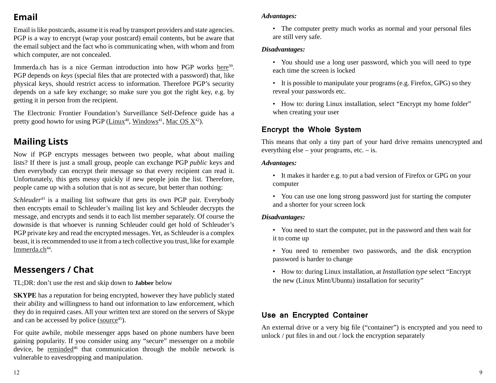# **Email**

Email is like postcards, assume it is read by transport providers and state agencies. PGP is a way to encrypt (wrap your postcard) email contents, but be aware that the email subject and the fact who is communicating when, with whom and from which computer, are not concealed.

Immerda.ch has is a nice German introduction into how PGP works here<sup>39</sup>. PGP depends on *keys* (special files that are protected with a password) that, like physical keys, should restrict access to information. Therefore PGP's security depends on a safe key exchange; so make sure you got the right key, e.g. by getting it in person from the recipient.

The Electronic Frontier Foundation's Surveillance Self-Defence guide has a pretty good howto for using PGP ( $\text{Linux}^{40}$ , Windows<sup>41</sup>, Mac OS  $X^{42}$ ).

# **Mailing Lists**

Now if PGP encrypts messages between two people, what about mailing lists? If there is just a small group, people can exchange PGP *public* keys and then everybody can encrypt their message so that every recipient can read it. Unfortunately, this gets messy quickly if new people join the list. Therefore, people came up with a solution that is not as secure, but better than nothing:

*Schleuder*<sup>43</sup> is a mailing list software that gets its own PGP pair. Everybody then encrypts email to Schleuder's mailing list key and Schleuder decrypts the message, and encrypts and sends it to each list member separately. Of course the downside is that whoever is running Schleuder could get hold of Schleuder's PGP private key and read the encrypted messages. Yet, as Schleuder is a complex beast, it is recommended to use it from a tech collective you trust, like for example Immerda.ch<sup>44</sup>.

# **Messengers / Chat**

TL;DR: don't use the rest and skip down to **Jabber** below

**SKYPE** has a reputation for being encrypted, however they have publicly stated their ability and willingness to hand out information to law enforcement, which they do in required cases. All your written text are stored on the servers of Skype and can be accessed by police (source $45$ ).

For quite awhile, mobile messenger apps based on phone numbers have been gaining popularity. If you consider using any "secure" messenger on a mobile device, be reminded<sup>46</sup> that communication through the mobile network is vulnerable to eavesdropping and manipulation.

#### *Advantages:*

• The computer pretty much works as normal and your personal files are still very safe.

#### *Disadvantages:*

- You should use a long user password, which you will need to type each time the screen is locked
- It is possible to manipulate your programs (e.g. Firefox, GPG) so they reveal your passwords etc.
- How to: during Linux installation, select "Encrypt my home folder" when creating your user

#### **Encrypt the Whole System**

This means that only a tiny part of your hard drive remains unencrypted and everything else – your programs, etc. – is.

#### *Advantages:*

- It makes it harder e.g. to put a bad version of Firefox or GPG on your computer
- You can use one long strong password just for starting the computer and a shorter for your screen lock

#### *Disadvantages:*

- You need to start the computer, put in the password and then wait for it to come up
- You need to remember two passwords, and the disk encryption password is harder to change
- How to: during Linux installation, at *Installation type* select "Encrypt the new (Linux Mint/Ubuntu) installation for security"

#### **Use an Encrypted Container**

An external drive or a very big file ("container") is encrypted and you need to unlock  $/$  put files in and out  $/$  lock the encryption separately